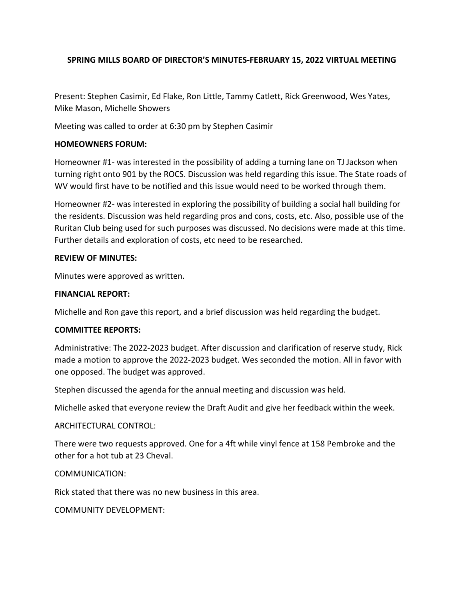# **SPRING MILLS BOARD OF DIRECTOR'S MINUTES-FEBRUARY 15, 2022 VIRTUAL MEETING**

Present: Stephen Casimir, Ed Flake, Ron Little, Tammy Catlett, Rick Greenwood, Wes Yates, Mike Mason, Michelle Showers

Meeting was called to order at 6:30 pm by Stephen Casimir

### **HOMEOWNERS FORUM:**

Homeowner #1- was interested in the possibility of adding a turning lane on TJ Jackson when turning right onto 901 by the ROCS. Discussion was held regarding this issue. The State roads of WV would first have to be notified and this issue would need to be worked through them.

Homeowner #2- was interested in exploring the possibility of building a social hall building for the residents. Discussion was held regarding pros and cons, costs, etc. Also, possible use of the Ruritan Club being used for such purposes was discussed. No decisions were made at this time. Further details and exploration of costs, etc need to be researched.

#### **REVIEW OF MINUTES:**

Minutes were approved as written.

### **FINANCIAL REPORT:**

Michelle and Ron gave this report, and a brief discussion was held regarding the budget.

### **COMMITTEE REPORTS:**

Administrative: The 2022-2023 budget. After discussion and clarification of reserve study, Rick made a motion to approve the 2022-2023 budget. Wes seconded the motion. All in favor with one opposed. The budget was approved.

Stephen discussed the agenda for the annual meeting and discussion was held.

Michelle asked that everyone review the Draft Audit and give her feedback within the week.

### ARCHITECTURAL CONTROL:

There were two requests approved. One for a 4ft while vinyl fence at 158 Pembroke and the other for a hot tub at 23 Cheval.

### COMMUNICATION:

Rick stated that there was no new business in this area.

COMMUNITY DEVELOPMENT: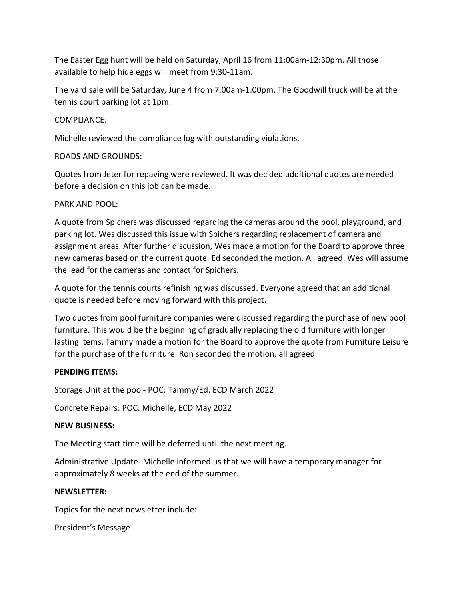The Easter Egg hunt will be held on Saturday, April 16 from 11:00am-12:30pm. All those available to help hide eggs will meet from 9:30-11am.

The yard sale will be Saturday, June 4 from 7:00am-1:00pm. The Goodwill truck will be at the tennis court parking lot at 1pm.

# COMPLIANCE:

Michelle reviewed the compliance log with outstanding violations.

# ROADS AND GROUNDS:

Quotes from Jeter for repaving were reviewed. It was decided additional quotes are needed before a decision on this job can be made.

# PARK AND POOL:

A quote from Spichers was discussed regarding the cameras around the pool, playground, and parking lot. Wes discussed this issue with Spichers regarding replacement of camera and assignment areas. After further discussion, Wes made a motion for the Board to approve three new cameras based on the current quote. Ed seconded the motion. All agreed. Wes will assume the lead for the cameras and contact for Spichers.

A quote for the tennis courts refinishing was discussed. Everyone agreed that an additional quote is needed before moving forward with this project.

Two quotes from pool furniture companies were discussed regarding the purchase of new pool furniture. This would be the beginning of gradually replacing the old furniture with longer lasting items. Tammy made a motion for the Board to approve the quote from Furniture Leisure for the purchase of the furniture. Ron seconded the motion, all agreed.

### **PENDING ITEMS:**

Storage Unit at the pool- POC: Tammy/Ed. ECD March 2022

Concrete Repairs: POC: Michelle, ECD May 2022

### **NEW BUSINESS:**

The Meeting start time will be deferred until the next meeting.

Administrative Update- Michelle informed us that we will have a temporary manager for approximately 8 weeks at the end of the summer.

### **NEWSLETTER:**

Topics for the next newsletter include:

President's Message